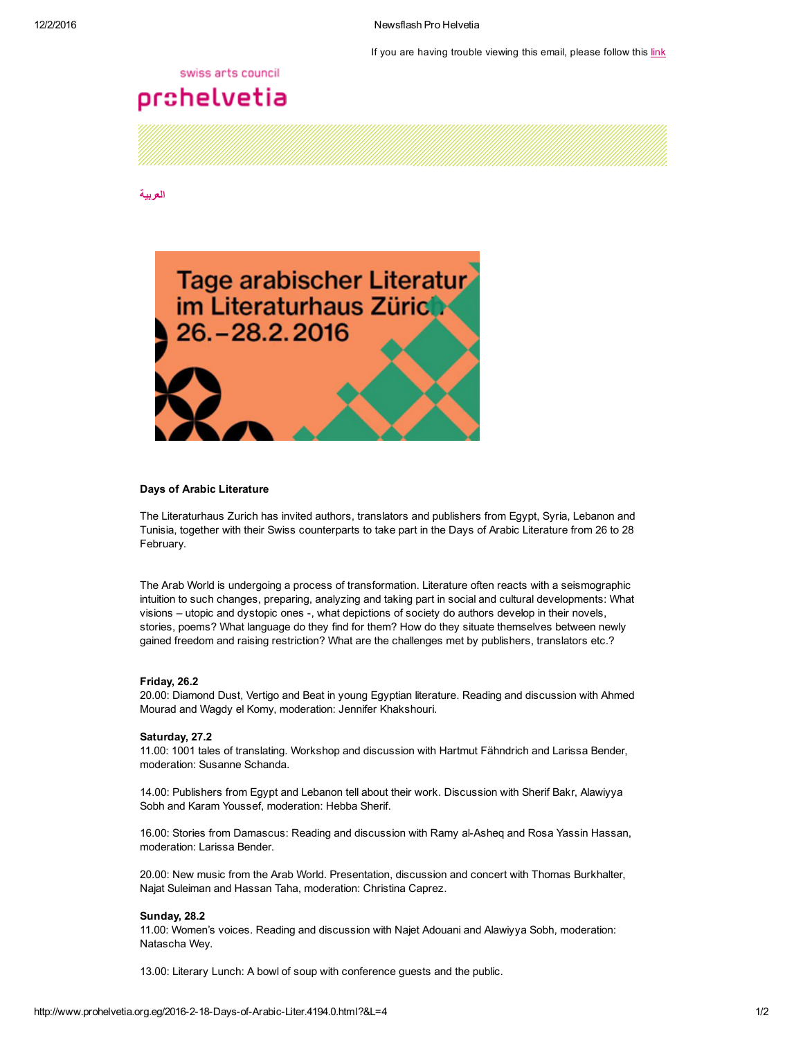If you are having trouble viewing this email, please follow this [link](http://www.prohelvetia.org.eg/4194.0.html?&showInBrowserView=1)

# swiss arts council

# prohelvetia

[العربية](http://www.prohelvetia.org.eg/4212.0.html)



## Days of Arabic Literature

The Literaturhaus Zurich has invited authors, translators and publishers from Egypt, Syria, Lebanon and Tunisia, together with their Swiss counterparts to take part in the Days of Arabic Literature from 26 to 28 February.

The Arab World is undergoing a process of transformation. Literature often reacts with a seismographic intuition to such changes, preparing, analyzing and taking part in social and cultural developments: What visions – utopic and dystopic ones -, what depictions of society do authors develop in their novels, stories, poems? What language do they find for them? How do they situate themselves between newly gained freedom and raising restriction? What are the challenges met by publishers, translators etc.?

#### Friday, 26.2

20.00: Diamond Dust, Vertigo and Beat in young Egyptian literature. Reading and discussion with Ahmed Mourad and Wagdy el Komy, moderation: Jennifer Khakshouri.

### Saturday, 27.2

11.00: 1001 tales of translating. Workshop and discussion with Hartmut Fähndrich and Larissa Bender, moderation: Susanne Schanda.

14.00: Publishers from Egypt and Lebanon tell about their work. Discussion with Sherif Bakr, Alawiyya Sobh and Karam Youssef, moderation: Hebba Sherif.

16.00: Stories from Damascus: Reading and discussion with Ramy al-Asheq and Rosa Yassin Hassan, moderation: Larissa Bender.

20.00: New music from the Arab World. Presentation, discussion and concert with Thomas Burkhalter, Najat Suleiman and Hassan Taha, moderation: Christina Caprez.

#### Sunday, 28.2

11.00: Women's voices. Reading and discussion with Najet Adouani and Alawiyya Sobh, moderation: Natascha Wey.

13.00: Literary Lunch: A bowl of soup with conference guests and the public.